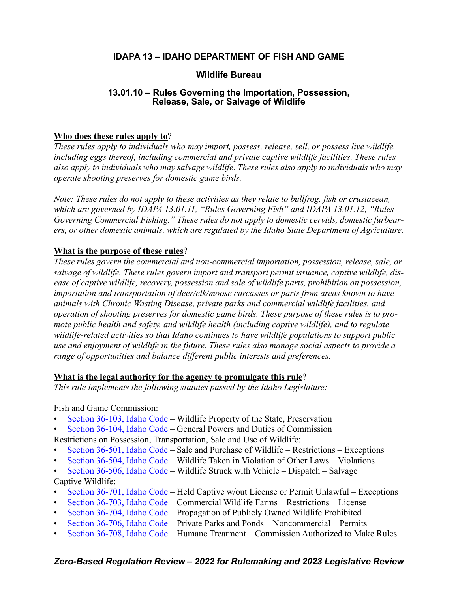# **IDAPA 13 – IDAHO DEPARTMENT OF FISH AND GAME**

# **Wildlife Bureau**

# **13.01.10 – Rules Governing the Importation, Possession, Release, Sale, or Salvage of Wildlife**

# **Who does these rules apply to**?

*These rules apply to individuals who may import, possess, release, sell, or possess live wildlife, including eggs thereof, including commercial and private captive wildlife facilities. These rules also apply to individuals who may salvage wildlife. These rules also apply to individuals who may operate shooting preserves for domestic game birds.*

*Note: These rules do not apply to these activities as they relate to bullfrog, fish or crustacean, which are governed by IDAPA 13.01.11, "Rules Governing Fish" and IDAPA 13.01.12, "Rules Governing Commercial Fishing." These rules do not apply to domestic cervids, domestic furbearers, or other domestic animals, which are regulated by the Idaho State Department of Agriculture.*

# **What is the purpose of these rules**?

*These rules govern the commercial and non-commercial importation, possession, release, sale, or salvage of wildlife. These rules govern import and transport permit issuance, captive wildlife, disease of captive wildlife, recovery, possession and sale of wildlife parts, prohibition on possession, importation and transportation of deer/elk/moose carcasses or parts from areas known to have animals with Chronic Wasting Disease, private parks and commercial wildlife facilities, and operation of shooting preserves for domestic game birds. These purpose of these rules is to promote public health and safety, and wildlife health (including captive wildlife), and to regulate wildlife-related activities so that Idaho continues to have wildlife populations to support public use and enjoyment of wildlife in the future. These rules also manage social aspects to provide a range of opportunities and balance different public interests and preferences.*

# **What is the legal authority for the agency to promulgate this rule**?

*This rule implements the following statutes passed by the Idaho Legislature:*

Fish and Game Commission:

- [Section 36-103, Idaho Code –](https://legislature.idaho.gov/statutesrules/idstat/Title36/T36CH1/SECT36-103/) Wildlife Property of the State, Preservation
- [Section 36-104, Idaho Code –](https://legislature.idaho.gov/statutesrules/idstat/Title36/T36CH1/SECT36-104/) General Powers and Duties of Commission

Restrictions on Possession, Transportation, Sale and Use of Wildlife:

- [Section 36-501, Idaho Code –](https://legislature.idaho.gov/statutesrules/idstat/Title36/T36CH5/SECT36-501/) Sale and Purchase of Wildlife Restrictions Exceptions
- [Section 36-504, Idaho Code –](https://legislature.idaho.gov/statutesrules/idstat/Title36/T36CH5/SECT36-504/) Wildlife Taken in Violation of Other Laws Violations
- [Section 36-506, Idaho Code –](https://legislature.idaho.gov/statutesrules/idstat/Title36/T36CH5/SECT36-506/) Wildlife Struck with Vehicle Dispatch Salvage Captive Wildlife:
- [Section 36-701, Idaho Code –](https://legislature.idaho.gov/statutesrules/idstat/Title36/T36CH7/SECT36-701/) Held Captive w/out License or Permit Unlawful Exceptions
- [Section 36-703, Idaho Code –](https://legislature.idaho.gov/statutesrules/idstat/Title36/T36CH7/SECT36-703/) Commercial Wildlife Farms Restrictions License
- [Section 36-704, Idaho Code –](https://legislature.idaho.gov/statutesrules/idstat/Title36/T36CH7/SECT36-704/) Propagation of Publicly Owned Wildlife Prohibited
- [Section 36-706, Idaho Code](https://legislature.idaho.gov/statutesrules/idstat/Title36/T36CH7/SECT36-706/)  Private Parks and Ponds Noncommercial Permits
- [Section 36-708, Idaho Code –](https://legislature.idaho.gov/statutesrules/idstat/Title36/T36CH7/SECT36-708/) Humane Treatment Commission Authorized to Make Rules

# *Zero-Based Regulation Review – 2022 for Rulemaking and 2023 Legislative Review*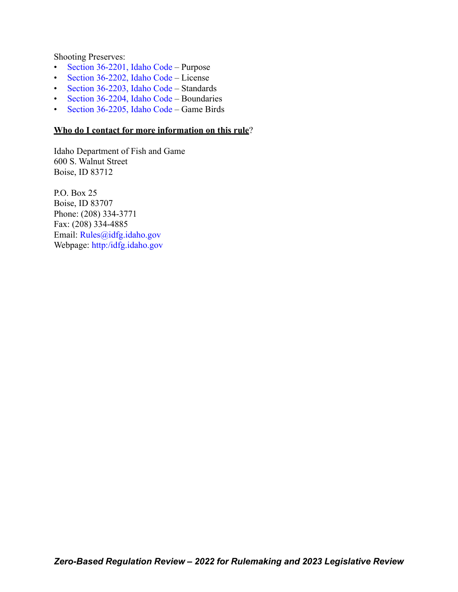Shooting Preserves:

- [Section 36-2201, Idaho Code –](https://legislature.idaho.gov/statutesrules/idstat/Title36/T36CH22/SECT36-2201/) Purpose
- [Section 36-2202, Idaho Code –](https://legislature.idaho.gov/statutesrules/idstat/Title36/T36CH22/SECT36-2202/) License
- [Section 36-2203, Idaho Code –](https://legislature.idaho.gov/statutesrules/idstat/Title36/T36CH22/SECT36-2203/) Standards
- [Section 36-2204, Idaho Code –](https://legislature.idaho.gov/statutesrules/idstat/Title36/T36CH22/SECT36-2204/) Boundaries
- [Section 36-2205, Idaho Code –](https://legislature.idaho.gov/statutesrules/idstat/Title36/T36CH22/SECT36-2205/) Game Birds

# **Who do I contact for more information on this rule**?

Idaho Department of Fish and Game 600 S. Walnut Street Boise, ID 83712

P.O. Box 25 Boise, ID 83707 Phone: (208) 334-3771 Fax: (208) 334-4885 Email: [Rules@idfg.idaho.gov](mailto:Rules@idfg.idaho.gov) Webpage: [http:/idfg.idaho.gov](https://idfg.idaho.gov)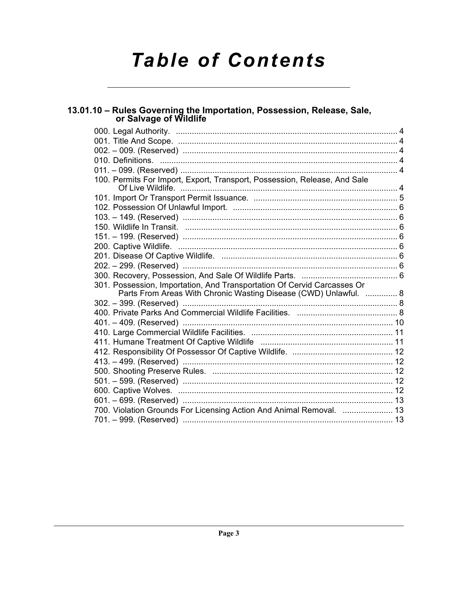# **Table of Contents**

## 13.01.10 - Rules Governing the Importation, Possession, Release, Sale, or Salvage of Wildlife 100. Permits For Import, Export, Transport, Possession, Release, And Sale 301. Possession, Importation, And Transportation Of Cervid Carcasses Or Parts From Areas With Chronic Wasting Disease (CWD) Unlawful. .............. 8 700. Violation Grounds For Licensing Action And Animal Removal. ..................... 13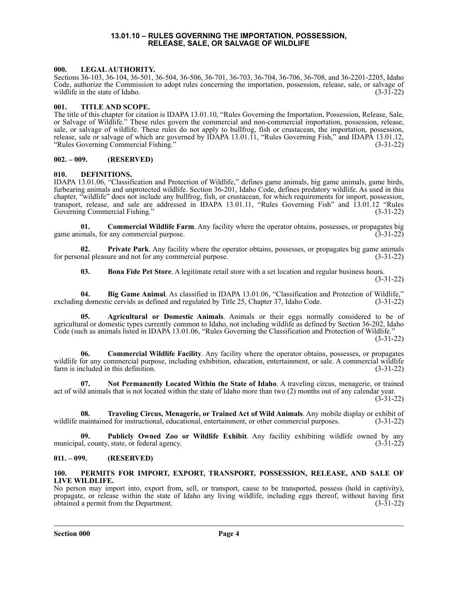### **13.01.10 – RULES GOVERNING THE IMPORTATION, POSSESSION, RELEASE, SALE, OR SALVAGE OF WILDLIFE**

### <span id="page-3-1"></span><span id="page-3-0"></span>**000. LEGAL AUTHORITY.**

Sections 36-103, 36-104, 36-501, 36-504, 36-506, 36-701, 36-703, 36-704, 36-706, 36-708, and 36-2201-2205, Idaho Code, authorize the Commission to adopt rules concerning the importation, possession, release, sale, or salvage of wildlife in the state of Idaho. (3-31-22)

### <span id="page-3-2"></span>**001. TITLE AND SCOPE.**

The title of this chapter for citation is IDAPA 13.01.10, "Rules Governing the Importation, Possession, Release, Sale, or Salvage of Wildlife." These rules govern the commercial and non-commercial importation, possession, release, sale, or salvage of wildlife. These rules do not apply to bullfrog, fish or crustacean, the importation, possession, release, sale or salvage of which are governed by IDAPA 13.01.11, "Rules Governing Fish," and IDAPA 13.01.12, "Rules Governing Commercial Fishing." (3-31-22)

### <span id="page-3-3"></span>**002. – 009. (RESERVED)**

### <span id="page-3-4"></span>**010. DEFINITIONS.**

IDAPA 13.01.06, "Classification and Protection of Wildlife," defines game animals, big game animals, game birds, furbearing animals and unprotected wildlife. Section 36-201, Idaho Code, defines predatory wildlife. As used in this chapter, "wildlife" does not include any bullfrog, fish, or crustacean, for which requirements for import, possession, transport, release, and sale are addressed in IDAPA 13.01.11, "Rules Governing Fish" and 13.01.12 "Rules Governing Commercial Fishing." (3-31-22)

**01. Commercial Wildlife Farm**. Any facility where the operator obtains, possesses, or propagates big mals, for any commercial purpose. (3-31-22) game animals, for any commercial purpose.

**02. Private Park**. Any facility where the operator obtains, possesses, or propagates big game animals for personal pleasure and not for any commercial purpose. (3-31-22)

**03. Bona Fide Pet Store**. A legitimate retail store with a set location and regular business hours. (3-31-22)

**04. Big Game Animal**. As classified in IDAPA 13.01.06, "Classification and Protection of Wildlife," excluding domestic cervids as defined and regulated by Title 25, Chapter 37, Idaho Code. (3-31-22)

**05. Agricultural or Domestic Animals**. Animals or their eggs normally considered to be of agricultural or domestic types currently common to Idaho, not including wildlife as defined by Section 36-202, Idaho Code (such as animals listed in IDAPA 13.01.06, "Rules Governing the Classification and Protection of Wildlife." (3-31-22)

**06. Commercial Wildlife Facility**. Any facility where the operator obtains, possesses, or propagates wildlife for any commercial purpose, including exhibition, education, entertainment, or sale. A commercial wildlife farm is included in this definition. (3-31-22)

**07. Not Permanently Located Within the State of Idaho**. A traveling circus, menagerie, or trained act of wild animals that is not located within the state of Idaho more than two (2) months out of any calendar year.

(3-31-22)

**08. Traveling Circus, Menagerie, or Trained Act of Wild Animals**. Any mobile display or exhibit of wildlife maintained for instructional, educational, entertainment, or other commercial purposes. (3-31-22)

**09. Publicly Owned Zoo or Wildlife Exhibit**. Any facility exhibiting wildlife owned by any municipal, county, state, or federal agency. (3-31-22)

### <span id="page-3-5"></span>**011. – 099. (RESERVED)**

### <span id="page-3-6"></span>**100. PERMITS FOR IMPORT, EXPORT, TRANSPORT, POSSESSION, RELEASE, AND SALE OF LIVE WILDLIFE.**

No person may import into, export from, sell, or transport, cause to be transported, possess (hold in captivity), propagate, or release within the state of Idaho any living wildlife, including eggs thereof, without having first obtained a permit from the Department. (3-31-22)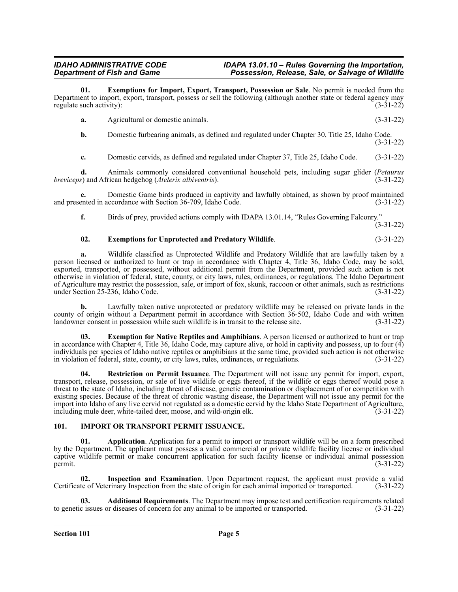**01. Exemptions for Import, Export, Transport, Possession or Sale**. No permit is needed from the Department to import, export, transport, possess or sell the following (although another state or federal agency may regulate such activity): (3-31-22)

| а. | Agricultural or domestic animals. | $(3-31-22)$ |
|----|-----------------------------------|-------------|
|    |                                   |             |

**b.** Domestic furbearing animals, as defined and regulated under Chapter 30, Title 25, Idaho Code. (3-31-22)

**c.** Domestic cervids, as defined and regulated under Chapter 37, Title 25, Idaho Code. (3-31-22)

**d.** Animals commonly considered conventional household pets, including sugar glider (*Petaurus breviceps*) and African hedgehog (*Atelerix albiventris*).

**e.** Domestic Game birds produced in captivity and lawfully obtained, as shown by proof maintained ented in accordance with Section 36-709, Idaho Code. (3-31-22) and presented in accordance with Section 36-709, Idaho Code.

**f.** Birds of prey, provided actions comply with IDAPA 13.01.14, "Rules Governing Falconry."

(3-31-22)

### **02. Exemptions for Unprotected and Predatory Wildlife**. (3-31-22)

**a.** Wildlife classified as Unprotected Wildlife and Predatory Wildlife that are lawfully taken by a person licensed or authorized to hunt or trap in accordance with Chapter 4, Title 36, Idaho Code, may be sold, exported, transported, or possessed, without additional permit from the Department, provided such action is not otherwise in violation of federal, state, county, or city laws, rules, ordinances, or regulations. The Idaho Department of Agriculture may restrict the possession, sale, or import of fox, skunk, raccoon or other animals, such as restrictions under Section 25-236, Idaho Code. (3-31-22)

**b.** Lawfully taken native unprotected or predatory wildlife may be released on private lands in the county of origin without a Department permit in accordance with Section 36-502, Idaho Code and with written landowner consent in possession while such wildlife is in transit to the release site. (3-31-22)

**03. Exemption for Native Reptiles and Amphibians**. A person licensed or authorized to hunt or trap in accordance with Chapter 4, Title 36, Idaho Code, may capture alive, or hold in captivity and possess, up to four  $(4)$ individuals per species of Idaho native reptiles or amphibians at the same time, provided such action is not otherwise in violation of federal, state, county, or city laws, rules, ordinances, or regulations. (3-31-22)

**04. Restriction on Permit Issuance**. The Department will not issue any permit for import, export, transport, release, possession, or sale of live wildlife or eggs thereof, if the wildlife or eggs thereof would pose a threat to the state of Idaho, including threat of disease, genetic contamination or displacement of or competition with existing species. Because of the threat of chronic wasting disease, the Department will not issue any permit for the import into Idaho of any live cervid not regulated as a domestic cervid by the Idaho State Department of Agriculture, including mule deer, white-tailed deer, moose, and wild-origin elk. (3-31-22)

### <span id="page-4-0"></span>**101. IMPORT OR TRANSPORT PERMIT ISSUANCE.**

**01. Application**. Application for a permit to import or transport wildlife will be on a form prescribed by the Department. The applicant must possess a valid commercial or private wildlife facility license or individual captive wildlife permit or make concurrent application for such facility license or individual animal possession  $permit.$  (3-31-22)

**02. Inspection and Examination**. Upon Department request, the applicant must provide a valid Certificate of Veterinary Inspection from the state of origin for each animal imported or transported. (3-31-22)

**03. Additional Requirements**. The Department may impose test and certification requirements related to genetic issues or diseases of concern for any animal to be imported or transported. (3-31-22)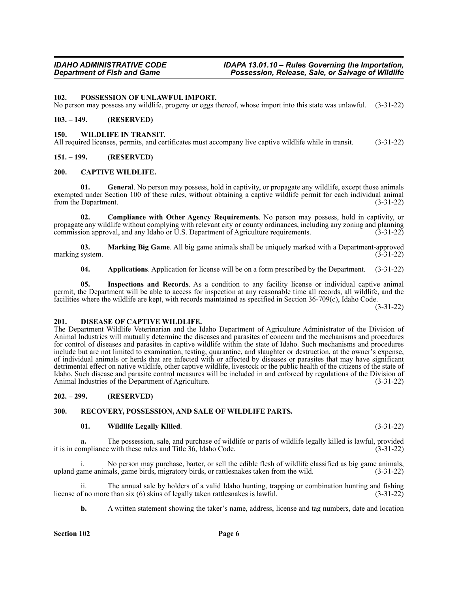<span id="page-5-0"></span>**102. POSSESSION OF UNLAWFUL IMPORT.**

No person may possess any wildlife, progeny or eggs thereof, whose import into this state was unlawful. (3-31-22)

### <span id="page-5-1"></span>**103. – 149. (RESERVED)**

### <span id="page-5-2"></span>**150. WILDLIFE IN TRANSIT.**

All required licenses, permits, and certificates must accompany live captive wildlife while in transit. (3-31-22)

### <span id="page-5-3"></span>**151. – 199. (RESERVED)**

### <span id="page-5-4"></span>**200. CAPTIVE WILDLIFE.**

**01. General**. No person may possess, hold in captivity, or propagate any wildlife, except those animals exempted under Section 100 of these rules, without obtaining a captive wildlife permit for each individual animal from the Department. (3-31-22)

**02. Compliance with Other Agency Requirements**. No person may possess, hold in captivity, or propagate any wildlife without complying with relevant city or county ordinances, including any zoning and planning commission approval, and any Idaho or U.S. Department of Agriculture requirements. (3-31-22)

**03. Marking Big Game**. All big game animals shall be uniquely marked with a Department-approved marking system.

**04. Applications**. Application for license will be on a form prescribed by the Department. (3-31-22)

**05. Inspections and Records**. As a condition to any facility license or individual captive animal permit, the Department will be able to access for inspection at any reasonable time all records, all wildlife, and the facilities where the wildlife are kept, with records maintained as specified in Section 36-709(c), Idaho Code.

(3-31-22)

### <span id="page-5-5"></span>**201. DISEASE OF CAPTIVE WILDLIFE.**

The Department Wildlife Veterinarian and the Idaho Department of Agriculture Administrator of the Division of Animal Industries will mutually determine the diseases and parasites of concern and the mechanisms and procedures for control of diseases and parasites in captive wildlife within the state of Idaho. Such mechanisms and procedures include but are not limited to examination, testing, quarantine, and slaughter or destruction, at the owner's expense, of individual animals or herds that are infected with or affected by diseases or parasites that may have significant detrimental effect on native wildlife, other captive wildlife, livestock or the public health of the citizens of the state of Idaho. Such disease and parasite control measures will be included in and enforced by regulations of the Division of Animal Industries of the Department of Agriculture.

### <span id="page-5-6"></span>**202. – 299. (RESERVED)**

### <span id="page-5-7"></span>**300. RECOVERY, POSSESSION, AND SALE OF WILDLIFE PARTS.**

### **01. Wildlife Legally Killed**. (3-31-22)

**a.** The possession, sale, and purchase of wildlife or parts of wildlife legally killed is lawful, provided it is in compliance with these rules and Title 36, Idaho Code. (3-31-22)

i. No person may purchase, barter, or sell the edible flesh of wildlife classified as big game animals, upland game animals, game birds, migratory birds, or rattlesnakes taken from the wild. (3-31-22)

ii. The annual sale by holders of a valid Idaho hunting, trapping or combination hunting and fishing f no more than six (6) skins of legally taken rattlesnakes is lawful. (3-31-22) license of no more than six  $(6)$  skins of legally taken rattlesnakes is lawful.

**b.** A written statement showing the taker's name, address, license and tag numbers, date and location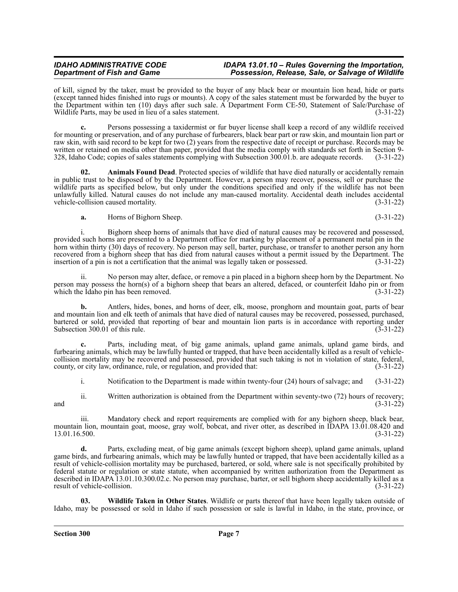of kill, signed by the taker, must be provided to the buyer of any black bear or mountain lion head, hide or parts (except tanned hides finished into rugs or mounts). A copy of the sales statement must be forwarded by the buyer to the Department within ten (10) days after such sale. A Department Form CE-50, Statement of Sale/Purchase of Wildlife Parts, may be used in lieu of a sales statement. (3-31-22)

**c.** Persons possessing a taxidermist or fur buyer license shall keep a record of any wildlife received for mounting or preservation, and of any purchase of furbearers, black bear part or raw skin, and mountain lion part or raw skin, with said record to be kept for two (2) years from the respective date of receipt or purchase. Records may be written or retained on media other than paper, provided that the media comply with standards set forth in Section 9- 328, Idaho Code; copies of sales statements complying with Subsection 300.01.b. are adequate records. (3-31-22)

**02. Animals Found Dead**. Protected species of wildlife that have died naturally or accidentally remain in public trust to be disposed of by the Department. However, a person may recover, possess, sell or purchase the wildlife parts as specified below, but only under the conditions specified and only if the wildlife has not been unlawfully killed. Natural causes do not include any man-caused mortality. Accidental death includes accidental vehicle-collision caused mortality. (3-31-22)

**a.** Horns of Bighorn Sheep. (3-31-22)

i. Bighorn sheep horns of animals that have died of natural causes may be recovered and possessed, provided such horns are presented to a Department office for marking by placement of a permanent metal pin in the horn within thirty (30) days of recovery. No person may sell, barter, purchase, or transfer to another person any horn recovered from a bighorn sheep that has died from natural causes without a permit issued by the Department. The insertion of a pin is not a certification that the animal was legally taken or possessed. (3-31-22)

ii. No person may alter, deface, or remove a pin placed in a bighorn sheep horn by the Department. No person may possess the horn(s) of a bighorn sheep that bears an altered, defaced, or counterfeit Idaho pin or from which the Idaho pin has been removed. (3-31-22)

**b.** Antlers, hides, bones, and horns of deer, elk, moose, pronghorn and mountain goat, parts of bear and mountain lion and elk teeth of animals that have died of natural causes may be recovered, possessed, purchased, bartered or sold, provided that reporting of bear and mountain lion parts is in accordance with reporting under Subsection 300.01 of this rule. (3-31-22)

**c.** Parts, including meat, of big game animals, upland game animals, upland game birds, and furbearing animals, which may be lawfully hunted or trapped, that have been accidentally killed as a result of vehiclecollision mortality may be recovered and possessed, provided that such taking is not in violation of state, federal, county, or city law, ordinance, rule, or regulation, and provided that: (3-31-22)

i. Notification to the Department is made within twenty-four (24) hours of salvage; and (3-31-22)

ii. Written authorization is obtained from the Department within seventy-two (72) hours of recovery; and  $(3-31-22)$ 

iii. Mandatory check and report requirements are complied with for any bighorn sheep, black bear, mountain lion, mountain goat, moose, gray wolf, bobcat, and river otter, as described in IDAPA 13.01.08.420 and 13.01.16.500. (3-31-22)

**d.** Parts, excluding meat, of big game animals (except bighorn sheep), upland game animals, upland game birds, and furbearing animals, which may be lawfully hunted or trapped, that have been accidentally killed as a result of vehicle-collision mortality may be purchased, bartered, or sold, where sale is not specifically prohibited by federal statute or regulation or state statute, when accompanied by written authorization from the Department as described in IDAPA 13.01.10.300.02.c. No person may purchase, barter, or sell bighorn sheep accidentally killed as a result of vehicle-collision. (3-31-22)

**03. Wildlife Taken in Other States**. Wildlife or parts thereof that have been legally taken outside of Idaho, may be possessed or sold in Idaho if such possession or sale is lawful in Idaho, in the state, province, or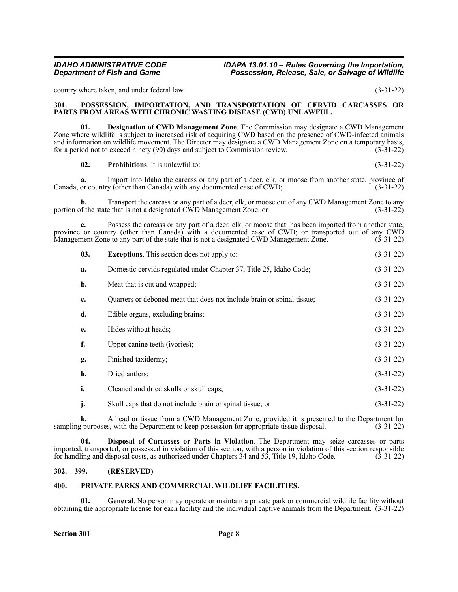country where taken, and under federal law. (3-31-22)

### <span id="page-7-0"></span>**301. POSSESSION, IMPORTATION, AND TRANSPORTATION OF CERVID CARCASSES OR PARTS FROM AREAS WITH CHRONIC WASTING DISEASE (CWD) UNLAWFUL.**

**01. Designation of CWD Management Zone**. The Commission may designate a CWD Management Zone where wildlife is subject to increased risk of acquiring CWD based on the presence of CWD-infected animals and information on wildlife movement. The Director may designate a CWD Management Zone on a temporary basis, for a period not to exceed ninety (90) days and subject to Commission review. (3-31-22)

**02.** Prohibitions. It is unlawful to: (3-31-22)

**a.** Import into Idaho the carcass or any part of a deer, elk, or moose from another state, province of Canada, or country (other than Canada) with any documented case of CWD; (3-31-22)

**b.** Transport the carcass or any part of a deer, elk, or moose out of any CWD Management Zone to any of the state that is not a designated CWD Management Zone; or  $(3-31-22)$ portion of the state that is not a designated  $\check{\text{CWD}}$  Management Zone; or

**c.** Possess the carcass or any part of a deer, elk, or moose that: has been imported from another state, province or country (other than Canada) with a documented case of CWD; or transported out of any CWD Management Zone to any part of the state that is not a designated CWD Management Zone. (3-31-22)

| 03. | <b>Exceptions.</b> This section does not apply to:                     | $(3-31-22)$ |
|-----|------------------------------------------------------------------------|-------------|
| a.  | Domestic cervids regulated under Chapter 37, Title 25, Idaho Code;     | $(3-31-22)$ |
| b.  | Meat that is cut and wrapped;                                          | $(3-31-22)$ |
| c.  | Quarters or deboned meat that does not include brain or spinal tissue; | $(3-31-22)$ |
| d.  | Edible organs, excluding brains;                                       | $(3-31-22)$ |
| e.  | Hides without heads;                                                   | $(3-31-22)$ |
| f.  | Upper canine teeth (ivories);                                          | $(3-31-22)$ |
| g.  | Finished taxidermy;                                                    | $(3-31-22)$ |
| h.  | Dried antlers;                                                         | $(3-31-22)$ |
| i.  | Cleaned and dried skulls or skull caps;                                | $(3-31-22)$ |
| j.  | Skull caps that do not include brain or spinal tissue; or              | $(3-31-22)$ |

**k.** A head or tissue from a CWD Management Zone, provided it is presented to the Department for gurposes, with the Department to keep possession for appropriate tissue disposal. (3-31-22) sampling purposes, with the Department to keep possession for appropriate tissue disposal.

**04. Disposal of Carcasses or Parts in Violation**. The Department may seize carcasses or parts imported, transported, or possessed in violation of this section, with a person in violation of this section responsible for handling and disposal costs, as authorized under Chapters 34 and 53, Title 19, Idaho Code. (3-31for handling and disposal costs, as authorized under Chapters 34 and 53, Title 19, Idaho Code.

### <span id="page-7-1"></span>**302. – 399. (RESERVED)**

### <span id="page-7-2"></span>**400. PRIVATE PARKS AND COMMERCIAL WILDLIFE FACILITIES.**

**01. General**. No person may operate or maintain a private park or commercial wildlife facility without obtaining the appropriate license for each facility and the individual captive animals from the Department. (3-31-22)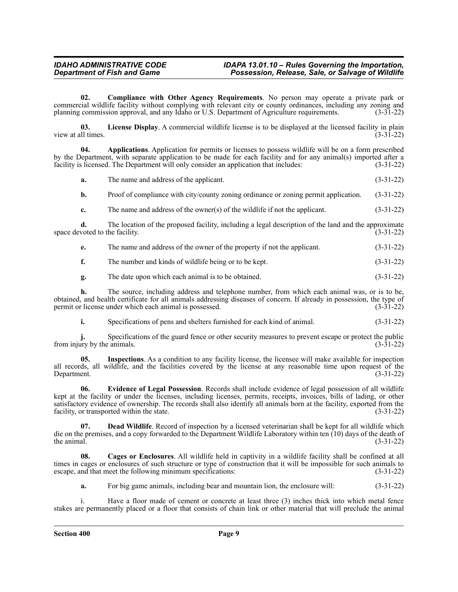**02. Compliance with Other Agency Requirements**. No person may operate a private park or commercial wildlife facility without complying with relevant city or county ordinances, including any zoning and planning commission approval, and any Idaho or U.S. Department of Agriculture requirements. (3-31-22) planning commission approval, and any Idaho or U.S. Department of Agriculture requirements.

**03.** License Display. A commercial wildlife license is to be displayed at the licensed facility in plain ll times. (3-31-22) view at all times.

**04. Applications**. Application for permits or licenses to possess wildlife will be on a form prescribed by the Department, with separate application to be made for each facility and for any animal(s) imported after a facility is licensed. The Department will only consider an application that includes: (3-31-22) facility is licensed. The Department will only consider an application that includes:

**a.** The name and address of the applicant. (3-31-22)

**b.** Proof of compliance with city/county zoning ordinance or zoning permit application. (3-31-22)

**c.** The name and address of the owner(s) of the wildlife if not the applicant. (3-31-22)

**d.** The location of the proposed facility, including a legal description of the land and the approximate voted to the facility. (3-31-22) space devoted to the facility.

| The name and address of the owner of the property if not the applicant. | $(3-31-22)$ |
|-------------------------------------------------------------------------|-------------|
|                                                                         |             |

- **f.** The number and kinds of wildlife being or to be kept.  $(3-31-22)$
- **g.** The date upon which each animal is to be obtained. (3-31-22)

**h.** The source, including address and telephone number, from which each animal was, or is to be, obtained, and health certificate for all animals addressing diseases of concern. If already in possession, the type of permit or license under which each animal is possessed. (3-31-22)

**i.** Specifications of pens and shelters furnished for each kind of animal. (3-31-22)

**j.** Specifications of the guard fence or other security measures to prevent escape or protect the public ary by the animals. (3-31-22) from injury by the animals.

**05. Inspections**. As a condition to any facility license, the licensee will make available for inspection all records, all wildlife, and the facilities covered by the license at any reasonable time upon request of the Department. (3-31-22)

**06. Evidence of Legal Possession**. Records shall include evidence of legal possession of all wildlife kept at the facility or under the licenses, including licenses, permits, receipts, invoices, bills of lading, or other satisfactory evidence of ownership. The records shall also identify all animals born at the facility, exported from the facility, or transported within the state. (3-31-22) facility, or transported within the state.

**07. Dead Wildlife**. Record of inspection by a licensed veterinarian shall be kept for all wildlife which die on the premises, and a copy forwarded to the Department Wildlife Laboratory within ten (10) days of the death of the animal.  $(3-31-22)$ 

**08. Cages or Enclosures**. All wildlife held in captivity in a wildlife facility shall be confined at all times in cages or enclosures of such structure or type of construction that it will be impossible for such animals to escape, and that meet the following minimum specifications: (3-31-22)

**a.** For big game animals, including bear and mountain lion, the enclosure will: (3-31-22)

Have a floor made of cement or concrete at least three (3) inches thick into which metal fence stakes are permanently placed or a floor that consists of chain link or other material that will preclude the animal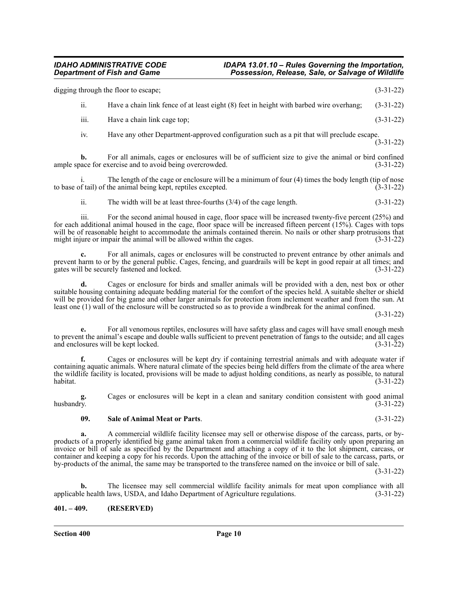|                  | digging through the floor to escape;                                                      | $(3-31-22)$ |
|------------------|-------------------------------------------------------------------------------------------|-------------|
| 11.              | Have a chain link fence of at least eight (8) feet in height with barbed wire overhang;   | $(3-31-22)$ |
| $\cdots$<br>111. | Have a chain link cage top;                                                               | $(3-31-22)$ |
| 1V.              | Have any other Department-approved configuration such as a pit that will preclude escape. | $(3-31-22)$ |

**b.** For all animals, cages or enclosures will be of sufficient size to give the animal or bird confined acce for exercise and to avoid being overcrowded.  $(3-31-22)$ ample space for exercise and to avoid being overcrowded.

i. The length of the cage or enclosure will be a minimum of four (4) times the body length (tip of nose to base of tail) of the animal being kept, reptiles excepted. (3-31-22)

ii. The width will be at least three-fourths  $(3/4)$  of the cage length.  $(3-31-22)$ 

iii. For the second animal housed in cage, floor space will be increased twenty-five percent (25%) and for each additional animal housed in the cage, floor space will be increased fifteen percent (15%). Cages with tops will be of reasonable height to accommodate the animals contained therein. No nails or other sharp protrusions that might injure or impair the animal will be allowed within the cages. (3-31-22)

**c.** For all animals, cages or enclosures will be constructed to prevent entrance by other animals and prevent harm to or by the general public. Cages, fencing, and guardrails will be kept in good repair at all times; and gates will be securely fastened and locked. (3-31-22)

**d.** Cages or enclosure for birds and smaller animals will be provided with a den, nest box or other suitable housing containing adequate bedding material for the comfort of the species held. A suitable shelter or shield will be provided for big game and other larger animals for protection from inclement weather and from the sun. At least one (1) wall of the enclosure will be constructed so as to provide a windbreak for the animal confined.

(3-31-22)

**e.** For all venomous reptiles, enclosures will have safety glass and cages will have small enough mesh to prevent the animal's escape and double walls sufficient to prevent penetration of fangs to the outside; and all cages and enclosures will be kept locked. (3-31-22) and enclosures will be kept locked.

**f.** Cages or enclosures will be kept dry if containing terrestrial animals and with adequate water if containing aquatic animals. Where natural climate of the species being held differs from the climate of the area where the wildlife facility is located, provisions will be made to adjust holding conditions, as nearly as possible, to natural habitat. (3-31-22) habitat. (3-31-22)

**g.** Cages or enclosures will be kept in a clean and sanitary condition consistent with good animal husbandry.  $(3-31-22)$ 

### **09. Sale of Animal Meat or Parts**. (3-31-22)

**a.** A commercial wildlife facility licensee may sell or otherwise dispose of the carcass, parts, or byproducts of a properly identified big game animal taken from a commercial wildlife facility only upon preparing an invoice or bill of sale as specified by the Department and attaching a copy of it to the lot shipment, carcass, or container and keeping a copy for his records. Upon the attaching of the invoice or bill of sale to the carcass, parts, or by-products of the animal, the same may be transported to the transferee named on the invoice or bill of sale.

(3-31-22)

**b.** The licensee may sell commercial wildlife facility animals for meat upon compliance with all le health laws, USDA, and Idaho Department of Agriculture regulations. (3-31-22) applicable health laws, USDA, and Idaho Department of Agriculture regulations.

### <span id="page-9-0"></span>**401. – 409. (RESERVED)**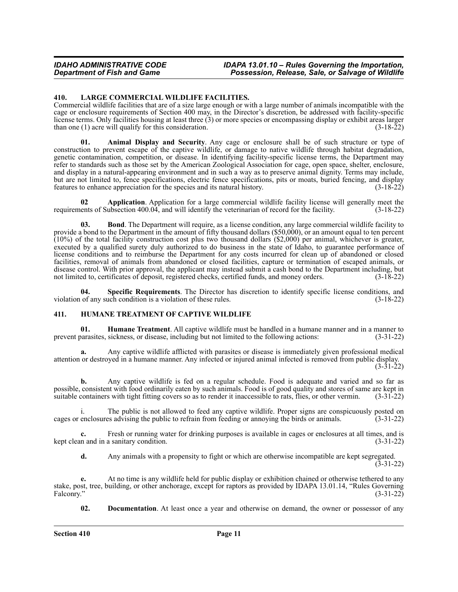### <span id="page-10-0"></span>**410. LARGE COMMERCIAL WILDLIFE FACILITIES.**

Commercial wildlife facilities that are of a size large enough or with a large number of animals incompatible with the cage or enclosure requirements of Section 400 may, in the Director's discretion, be addressed with facility-specific license terms. Only facilities housing at least three (3) or more species or encompassing display or exhibit areas larger than one (1) acre will qualify for this consideration. (3-18-22)

**01. Animal Display and Security**. Any cage or enclosure shall be of such structure or type of construction to prevent escape of the captive wildlife, or damage to native wildlife through habitat degradation, genetic contamination, competition, or disease. In identifying facility-specific license terms, the Department may refer to standards such as those set by the American Zoological Association for cage, open space, shelter, enclosure, and display in a natural-appearing environment and in such a way as to preserve animal dignity. Terms may include, but are not limited to, fence specifications, electric fence specifications, pits or moats, buried fencing, and display features to enhance appreciation for the species and its natural history. (3-18-22)

**02 Application**. Application for a large commercial wildlife facility license will generally meet the lents of Subsection 400.04, and will identify the veterinarian of record for the facility. (3-18-22) requirements of Subsection 400.04, and will identify the veterinarian of record for the facility.

**03. Bond**. The Department will require, as a license condition, any large commercial wildlife facility to provide a bond to the Department in the amount of fifty thousand dollars (\$50,000), or an amount equal to ten percent  $(10%)$  of the total facility construction cost plus two thousand dollars  $(\$2,000)$  per animal, whichever is greater, executed by a qualified surety duly authorized to do business in the state of Idaho, to guarantee performance of license conditions and to reimburse the Department for any costs incurred for clean up of abandoned or closed facilities, removal of animals from abandoned or closed facilities, capture or termination of escaped animals, or disease control. With prior approval, the applicant may instead submit a cash bond to the Department including, but not limited to, certificates of deposit, registered checks, certified funds, and money orders. (3-18-22)

**Specific Requirements**. The Director has discretion to identify specific license conditions, and violation of any such condition is a violation of these rules. (3-18-22)

### <span id="page-10-1"></span>**411. HUMANE TREATMENT OF CAPTIVE WILDLIFE**

**01. Humane Treatment**. All captive wildlife must be handled in a humane manner and in a manner to prevent parasites, sickness, or disease, including but not limited to the following actions: (3-31-22)

**a.** Any captive wildlife afflicted with parasites or disease is immediately given professional medical attention or destroyed in a humane manner. Any infected or injured animal infected is removed from public display. (3-31-22)

**b.** Any captive wildlife is fed on a regular schedule. Food is adequate and varied and so far as possible, consistent with food ordinarily eaten by such animals. Food is of good quality and stores of same are kept in suitable containers with tight fitting covers so as to render it inaccessible to rats, flies, or other vermin. (3-31-22)

i. The public is not allowed to feed any captive wildlife. Proper signs are conspicuously posted on cages or enclosures advising the public to refrain from feeding or annoying the birds or animals. (3-31-22)

**c.** Fresh or running water for drinking purposes is available in cages or enclosures at all times, and is kept clean and in a sanitary condition. (3-31-22)

**d.** Any animals with a propensity to fight or which are otherwise incompatible are kept segregated. (3-31-22)

**e.** At no time is any wildlife held for public display or exhibition chained or otherwise tethered to any stake, post, tree, building, or other anchorage, except for raptors as provided by IDAPA 13.01.14, "Rules Governing Falconry." (3-31-22) Falconry."  $(3-31-22)$ 

**02. Documentation**. At least once a year and otherwise on demand, the owner or possessor of any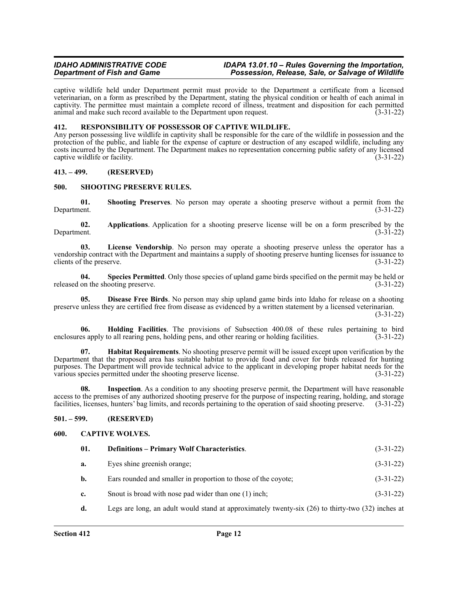captive wildlife held under Department permit must provide to the Department a certificate from a licensed veterinarian, on a form as prescribed by the Department, stating the physical condition or health of each animal in captivity. The permittee must maintain a complete record of illness, treatment and disposition for each permitted animal and make such record available to the Department upon request. (3-31-22)

### <span id="page-11-0"></span>**412. RESPONSIBILITY OF POSSESSOR OF CAPTIVE WILDLIFE.**

Any person possessing live wildlife in captivity shall be responsible for the care of the wildlife in possession and the protection of the public, and liable for the expense of capture or destruction of any escaped wildlife, including any costs incurred by the Department. The Department makes no representation concerning public safety of any licensed captive wildlife or facility. (3-31-22)

### <span id="page-11-1"></span>**413. – 499. (RESERVED)**

### <span id="page-11-2"></span>**500. SHOOTING PRESERVE RULES.**

**01.** Shooting Preserves. No person may operate a shooting preserve without a permit from the Department. (3-31-22) Department. (3-31-22)

**02.** Applications. Application for a shooting preserve license will be on a form prescribed by the Department. (3-31-22) Department. (3-31-22)

**03. License Vendorship**. No person may operate a shooting preserve unless the operator has a vendorship contract with the Department and maintains a supply of shooting preserve hunting licenses for issuance to clients of the preserve. (3-31-22)

**04. Species Permitted**. Only those species of upland game birds specified on the permit may be held or released on the shooting preserve. (3-31-22)

**05. Disease Free Birds**. No person may ship upland game birds into Idaho for release on a shooting preserve unless they are certified free from disease as evidenced by a written statement by a licensed veterinarian. (3-31-22)

**06. Holding Facilities**. The provisions of Subsection 400.08 of these rules pertaining to bird enclosures apply to all rearing pens, holding pens, and other rearing or holding facilities. (3-31-22)

**07. Habitat Requirements**. No shooting preserve permit will be issued except upon verification by the Department that the proposed area has suitable habitat to provide food and cover for birds released for hunting purposes. The Department will provide technical advice to the applicant in developing proper habitat needs for the various species permitted under the shooting preserve license. (3-31-22)

**08. Inspection**. As a condition to any shooting preserve permit, the Department will have reasonable access to the premises of any authorized shooting preserve for the purpose of inspecting rearing, holding, and storage facilities, licenses, hunters' bag limits, and records pertaining to the operation of said shooting preserve. (3-31-22)

### <span id="page-11-3"></span>**501. – 599. (RESERVED)**

### <span id="page-11-4"></span>**600. CAPTIVE WOLVES.**

| 01.         | <b>Definitions – Primary Wolf Characteristics.</b>                                                    | $(3-31-22)$ |
|-------------|-------------------------------------------------------------------------------------------------------|-------------|
| a.          | Eyes shine greenish orange;                                                                           | $(3-31-22)$ |
| b.          | Ears rounded and smaller in proportion to those of the coyote;                                        | $(3-31-22)$ |
| $c_{\cdot}$ | Snout is broad with nose pad wider than one (1) inch;                                                 | $(3-31-22)$ |
| d.          | Legs are long, an adult would stand at approximately twenty-six $(26)$ to thirty-two $(32)$ inches at |             |